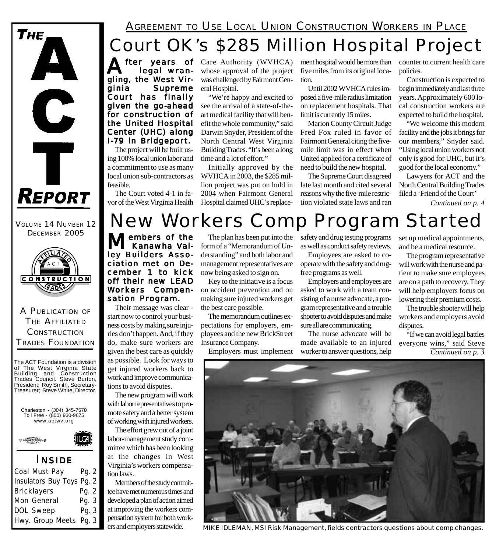

VOLUME 14 NUMBER 12 DECEMBER 2005



### A PUBLICATION OF THE AFFILIATED **CONSTRUCTION** TRADES FOUNDATION

The ACT Foundation is a division of The West Virginia State Building and Construction Trades Council. Steve Burton, President; Roy Smith, Secretary-Treasurer; Steve White, Director.





### *I NSIDE*

| <b>Coal Must Pay</b>             | Pg. 2 |  |
|----------------------------------|-------|--|
| <b>Insulators Buy Toys Pg. 2</b> |       |  |
| <b>Bricklayers</b>               | Pg. 2 |  |
| <b>Mon General</b>               | Pg. 3 |  |
| <b>DOL Sweep</b>                 | Pg. 3 |  |
| Hwy. Group Meets Pg. 3           |       |  |
|                                  |       |  |

### Court OK's \$285 Million Hospital Project AGREEMENT TO USE LOCAL UNION CONSTRUCTION WORKERS IN PLACE

**After years of** Care Authority (WVHCA)<br> **Legal wran**-<br> **Care Authority** (WVHCA) legal wrangling, the West Virginia Supreme Court has finally given the go-ahead for construction of the United Hospital Center (UHC) along

The project will be built using 100% local union labor and a commitment to use as many local union sub-contractors as feasible.

I-79 in Bridgeport.

The Court voted 4-1 in favor of the West Virginia Health whose approval of the project was challenged by Fairmont General Hospital.

"We're happy and excited to see the arrival of a state-of-theart medical facility that will benefit the whole community," said Darwin Snyder, President of the North Central West Virginia Building Trades. "It's been a long time and a lot of effort."

Initially approved by the WVHCA in 2003, the \$285 million project was put on hold in 2004 when Fairmont General Hospital claimed UHC's replacement hospital would be more than five miles from its original location.

Until 2002 WVHCA rules imposed a five-mile radius limitation on replacement hospitals. That limit is currently 15 miles.

Marion County Circuit Judge Fred Fox ruled in favor of Fairmont General citing the fivemile limit was in effect when United applied for a certificate of need to build the new hospital.

The Supreme Court disagreed late last month and cited several reasons why the five-mile restriction violated state laws and ran

counter to current health care policies.

Construction is expected to begin immediately and last three years. Approximately 600 local construction workers are expected to build the hospital.

"We welcome this modern facility and the jobs it brings for our members," Snyder said. "Using local union workers not only is good for UHC, but it's good for the local economy."

Lawyers for ACT and the North Central Building Trades filed a 'Friend of the Court'

*Continued on p. 4*

## New Workers Comp Program Started

embers of the Kanawha Valley Builders Association met on December 1 to kick off their new LEAD Workers Compensation Program.

Their message was clear start now to control your business costs by making sure injuries don't happen. And, if they do, make sure workers are given the best care as quickly as possible. Look for ways to get injured workers back to work and improve communications to avoid disputes.

The new program will work with labor representatives to promote safety and a better system of working with injured workers.

The effort grew out of a joint labor-management study committee which has been looking at the changes in West Virginia's workers compensation laws.

Members of the study committee have met numerous times and developed a plan of action aimed at improving the workers compensation system for both workers and employers statewide.

The plan has been put into the form of a "Memorandum of Understanding" and both labor and management representatives are now being asked to sign on.

Key to the initiative is a focus on accident prevention and on making sure injured workers get the best care possible.

The memorandum outlines expectations for employers, employees and the new BrickStreet Insurance Company.

Employers must implement

safety and drug testing programs as well as conduct safety reviews.

Employees are asked to cooperate with the safety and drugfree programs as well.

Employers and employees are asked to work with a team consisting of a nurse advocate, a program representative and a trouble shooter to avoid disputes and make sure all are communicating.

The nurse advocate will be made available to an injured worker to answer questions, help set up medical appointments, and be a medical resource.

The program representative will work with the nurse and patient to make sure employees are on a path to recovery. They will help employers focus on lowering their premium costs.

The trouble shooter will help workers and employers avoid disputes.

"If we can avoid legal battles everyone wins," said Steve *Continued on p. 3*



*MIKE IDLEMAN, MSI Risk Management, fields contractors questions about comp changes.*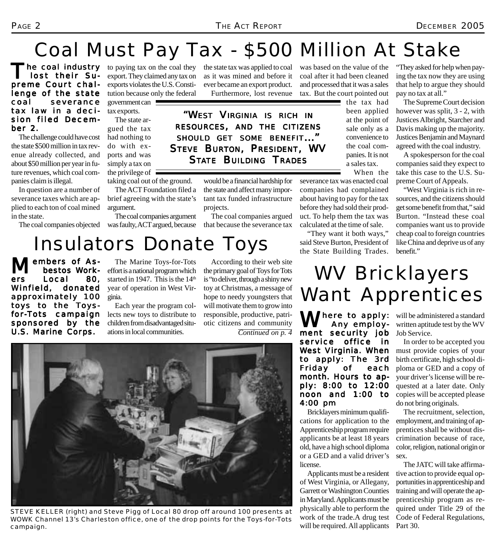# Coal Must Pay Tax - \$500 Million At Stake

he coal industry lost their Supreme Court challenge of the state coal severance tax law in a decision filed December 2.

The challenge could have cost the state \$500 million in tax revenue already collected, and about \$50 million per year in future revenues, which coal companies claim is illegal.

In question are a number of severance taxes which are applied to each ton of coal mined in the state.

to paying tax on the coal they export. They claimed any tax on exports violates the U.S. Constitution because only the federal

government can tax exports. The state ar-

gued the tax had nothing to do with exports and was simply a tax on the privilege of  $\equiv$ taking coal out of the ground.

The ACT Foundation filed a brief agreeing with the state's argument.

The coal companies objected was faulty, ACT argued, because The coal companies argument the state tax was applied to coal as it was mined and before it ever became an export product. Furthermore, lost revenue

*"WEST VIRGINIA IS RICH IN RESOURCES, AND THE CITIZENS SHOULD GET SOME BENEFIT..." STEVE BURTON, PRESIDENT, WV STATE BUILDING TRADES*

> would be a financial hardship for the state and affect many important tax funded infrastructure projects.

> The coal companies argued that because the severance tax

was based on the value of the coal after it had been cleaned and processed that it was a sales tax. But the court pointed out

> the tax had been applied at the point of sale only as a convenience to the coal companies. It is not a sales tax.

When the severance tax was enacted coal companies had complained about having to pay for the tax before they had sold their product. To help them the tax was calculated at the time of sale.

"They want it both ways," said Steve Burton, President of the State Building Trades.

"They asked for help when paying the tax now they are using that help to argue they should pay no tax at all."

The Supreme Court decision however was split, 3 - 2, with Justices Albright, Starcher and Davis making up the majority. Justices Benjamin and Maynard agreed with the coal industry.

A spokesperson for the coal companies said they expect to take this case to the U.S. Supreme Court of Appeals.

"West Virginia is rich in resources, and the citizens should get some benefit from that," said Burton. "Instead these coal companies want us to provide cheap coal to foreign countries like China and deprive us of any benefit."

Insulators Donate Toys

embers of As-<br>-bestos Work<br>-Local 80. bestos bestos Work-Local Winfield, donated approximately 100 toys to the Toysfor-Tots campaign sponsored by the U.S. Marine Corps.

The Marine Toys-for-Tots effort is a national program which started in 1947. This is the  $14<sup>th</sup>$ year of operation in West Virginia.

Each year the program collects new toys to distribute to children from disadvantaged situations in local communities.

According to their web site the primary goal of Toys for Tots is "to deliver, through a shiny new toy at Christmas, a message of hope to needy youngsters that will motivate them to grow into responsible, productive, patriotic citizens and community *Continued on p. 4*



*STEVE KELLER (right) and Steve Pigg of Local 80 drop off around 100 presents at WOWK Channel 13's Charleston office, one of the drop points for the Toys-for-Tots campaign.*

# WV Bricklayers Want Apprentices

Where to apply: will be administered a standard<br> **Any employ-** written aptitude test by the WV Any employ- Any employment security job service office in West Virginia. When to apply: The 3rd Friday of each month. Hours to apply: 8:00 to 12:00 noon and 1:00 to 4:00 pm

Bricklayers minimum qualifications for application to the Apprenticeship program require applicants be at least 18 years old, have a high school diploma or a GED and a valid driver's license.

Applicants must be a resident of West Virginia, or Allegany, Garrett or Washington Counties in Maryland. Applicants must be physically able to perform the work of the trade.A drug test will be required. All applicants

written aptitude test by the WV Job Service.

In order to be accepted you must provide copies of your birth certificate, high school diploma or GED and a copy of your driver's license will be requested at a later date. Only copies will be accepted please do not bring originals.

The recruitment, selection, employment, and training of apprentices shall be without discrimination because of race, color, religion, national origin or sex.

The JATC will take affirmative action to provide equal opportunities in apprenticeship and training and will operate the apprenticeship program as required under Title 29 of the Code of Federal Regulations, Part 30.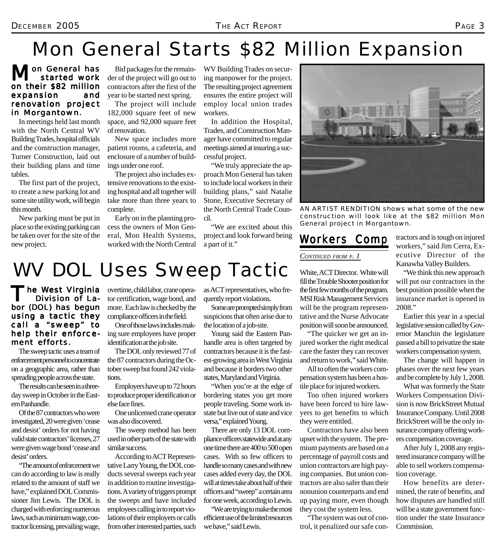## Mon General Starts \$82 Million Expansion

### on General has started work on their \$82 million expansion and renovation project in Morgantown.

In meetings held last month with the North Central WV Building Trades, hospital officials and the construction manager, Turner Construction, laid out their building plans and time tables.

The first part of the project, to create a new parking lot and some site utility work, will begin this month.

New parking must be put in place so the existing parking can be taken over for the site of the new project.

Bid packages for the remainder of the project will go out to contractors after the first of the year to be started next spring.

The project will include 182,000 square feet of new space, and 92,000 square feet of renovation.

New space includes more patient rooms, a cafeteria, and enclosure of a number of buildings under one roof.

The project also includes extensive renovations to the existing hospital and all together will take more than three years to complete.

Early on in the planning process the owners of Mon General, Mon Health Systems, worked with the North Central WV Building Trades on securing manpower for the project. The resulting project agreement ensures the entire project will employ local union trades workers.

In addition the Hospital, Trades, and Construction Manager have committed to regular meetings aimed at insuring a successful project.

"We truly appreciate the approach Mon General has taken to include local workers in their building plans," said Natalie Stone, Executive Secretary of the North Central Trade Council.

"We are excited about this project and look forward being a part of it."



*AN ARTIST RENDITION shows what some of the new construction will look like at the \$82 million Mon General project in Morgantown.*

### *CONTINUED FROM P. 1*

White, ACT Director. White will fill the Trouble Shooter position for the first few months of the program. MSI Risk Management Services will be the program representative and the Nurse Advocate position will soon be announced.

"The quicker we get an injured worker the right medical care the faster they can recover and return to work," said White.

All to often the workers compensation system has been a hostile place for injured workers.

Too often injured workers have been forced to hire lawyers to get benefits to which they were entitled.

Contractors have also been upset with the system. The premium payments are based on a percentage of payroll costs and union contractors are high paying companies. But union contractors are also safer than their nonunion counterparts and end up paying more, even though they cost the system less.

"The system was out of control, it penalized our safe con-

**Workers Comp** tractors and is tough on injured workers," said Jim Cerra, Executive Director of the Kanawha Valley Builders.

> "We think this new approach will put our contractors in the best position possible when the insurance market is opened in 2008."

> Earlier this year in a special legislative session called by Governor Manchin the legislature passed a bill to privatize the state workers compensation system.

> The change will happen in phases over the next few years and be complete by July 1, 2008.

> What was formerly the State Workers Compensation Division is now BrickStreet Mutual Insurance Company. Until 2008 BrickStreet will be the only insurance company offering workers compensation coverage.

> After July 1, 2008 any registered insurance company will be able to sell workers compensation coverage.

> How benefits are determined, the rate of benefits, and how disputes are handled still will be a state government function under the state Insurance Commission.

## WV DOL Uses Sweep Tactic

he West Virginia Division of Labor (DOL) has begun using a tactic they call a "sweep" to help their enforcement efforts.

The sweep tactic uses a team of enforcement personnel to concentrate on a geographic area, rather than spreading people across the state.

The results can be seen in a threeday sweep in October in the Eastern Panhandle.

Of the 87 contractors who were investigated, 20 were given 'cease and desist' orders for not having valid state contractors' licenses, 27 were given wage bond 'cease and desist' orders.

"The amount of enforcement we can do according to law is really related to the amount of staff we have," explained DOL Commissioner Jim Lewis. The DOL is charged with enforcing numerous laws, such as minimum wage, contractor licensing, prevailing wage,

overtime, child labor, crane operator certification, wage bond, and more. Each law is checked by the compliance officers in the field.

One of those laws includes making sure employees have proper identification at the job site.

The DOL only reviewed 77 of the 87 contractors during the October sweep but found 242 violations.

Employers have up to 72 hours to produce proper identification or else face fines.

One unlicensed crane operator was also discovered.

The sweep method has been used in other parts of the state with similar success.

According to ACT Representative Larry Young, the DOL conducts several sweeps each year in addition to routine investigations. A variety of triggers prompt the sweeps and have included employees calling in to report violations of their employers or calls from other interested parties, such

as ACT representatives, who frequently report violations. Some are prompted simply from

suspicions that often arise due to the location of a job-site.

Young said the Eastern Panhandle area is often targeted by contractors because it is the fastest-growing area in West Virginia and because it borders two other states, Maryland and Virginia.

"When you're at the edge of bordering states you get more people traveling. Some work instate but live out of state and vice versa," explained Young.

There are only 13 DOL compliance officers statewide and at any one time there are 400 to 500 open cases. With so few officers to handle so many cases and with new cases added every day, the DOL will at times take about half of their officers and "sweep" a certain area for one week, according to Lewis.

"We are trying to make the most efficient use of the limited resources we have," said Lewis.